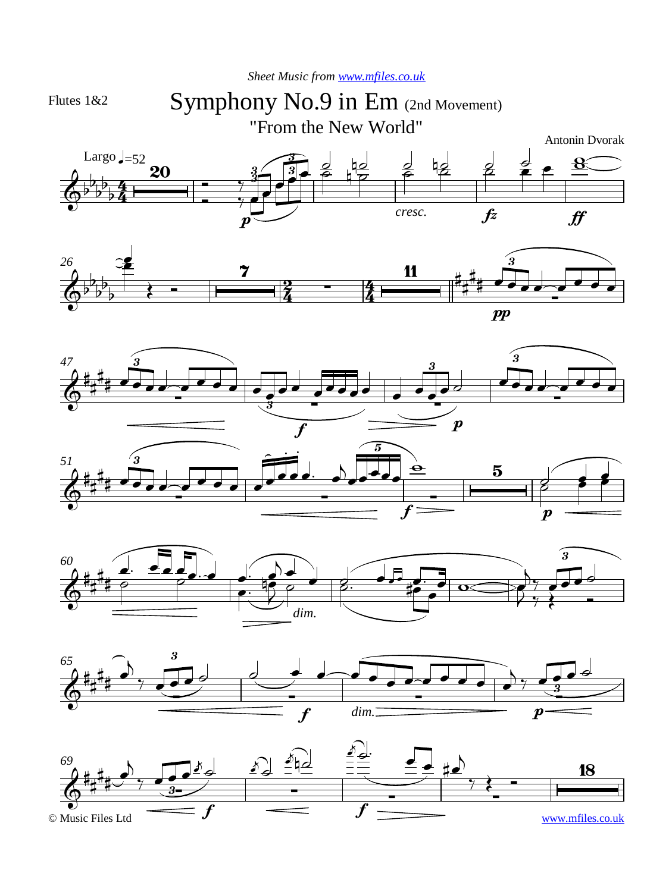*Sheet Music from [www.mfiles.co.uk](http://www.mfiles.co.uk)*

Flutes 1&2

## Symphony No.9 in Em (2nd Movement)

"From the New World"